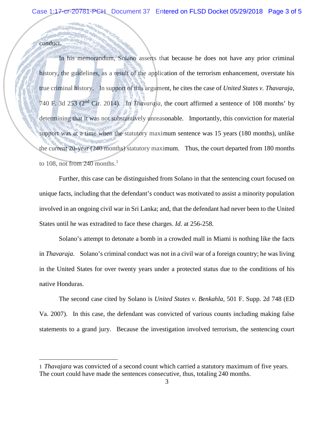## conduct.

 $\overline{a}$ 

In his memorandum, Solano asserts that because he does not have any prior criminal history, the guidelines, as a result of the application of the terrorism enhancement, overstate his true criminal history. In support of this argument, he cites the case of *United States v. Thavaraja*, 740 F. 3d 253 (2nd Cir. 2014). In *Thavaraja*, the court affirmed a sentence of 108 months' by determining that it was not substantively unreasonable. Importantly, this conviction for material support was at a time when the statutory maximum sentence was 15 years (180 months), unlike the current 20-year (240 months) statutory maximum. Thus, the court departed from 180 months to [1](#page-2-0)08, not from 240 months. $^1$ 

Further, this case can be distinguished from Solano in that the sentencing court focused on unique facts, including that the defendant's conduct was motivated to assist a minority population involved in an ongoing civil war in Sri Lanka; and, that the defendant had never been to the United States until he was extradited to face these charges. *Id*. at 256-258.

Solano's attempt to detonate a bomb in a crowded mall in Miami is nothing like the facts in *Thavaraja*. Solano's criminal conduct was not in a civil war of a foreign country; he was living in the United States for over twenty years under a protected status due to the conditions of his native Honduras.

The second case cited by Solano is *United States v. Benkahla*, 501 F. Supp. 2d 748 (ED Va. 2007). In this case, the defendant was convicted of various counts including making false statements to a grand jury. Because the investigation involved terrorism, the sentencing court

<span id="page-2-0"></span><sup>1</sup> *Thavajara* was convicted of a second count which carried a statutory maximum of five years. The court could have made the sentences consecutive, thus, totaling 240 months.